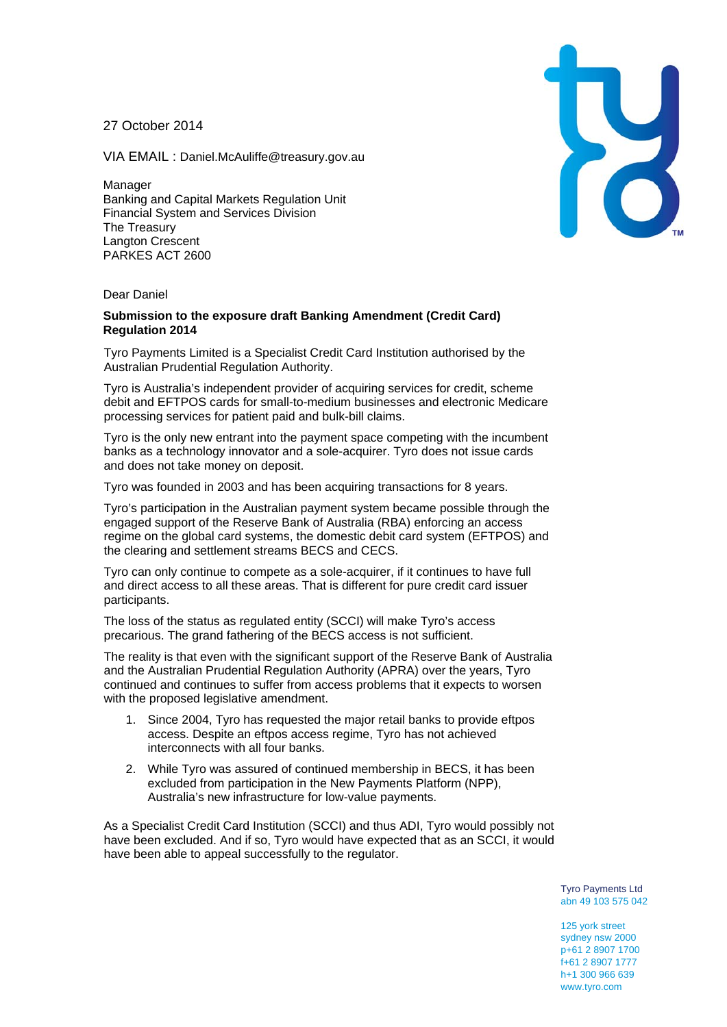27 October 2014

VIA EMAIL : Daniel.McAuliffe@treasury.gov.au

Manager Banking and Capital Markets Regulation Unit Financial System and Services Division The Treasury Langton Crescent PARKES ACT 2600

## Dear Daniel

## **Submission to the exposure draft Banking Amendment (Credit Card) Regulation 2014**

Tyro Payments Limited is a Specialist Credit Card Institution authorised by the Australian Prudential Regulation Authority.

Tyro is Australia's independent provider of acquiring services for credit, scheme debit and EFTPOS cards for small-to-medium businesses and electronic Medicare processing services for patient paid and bulk-bill claims.

Tyro is the only new entrant into the payment space competing with the incumbent banks as a technology innovator and a sole-acquirer. Tyro does not issue cards and does not take money on deposit.

Tyro was founded in 2003 and has been acquiring transactions for 8 years.

Tyro's participation in the Australian payment system became possible through the engaged support of the Reserve Bank of Australia (RBA) enforcing an access regime on the global card systems, the domestic debit card system (EFTPOS) and the clearing and settlement streams BECS and CECS.

Tyro can only continue to compete as a sole-acquirer, if it continues to have full and direct access to all these areas. That is different for pure credit card issuer participants.

The loss of the status as regulated entity (SCCI) will make Tyro's access precarious. The grand fathering of the BECS access is not sufficient.

The reality is that even with the significant support of the Reserve Bank of Australia and the Australian Prudential Regulation Authority (APRA) over the years, Tyro continued and continues to suffer from access problems that it expects to worsen with the proposed legislative amendment.

- 1. Since 2004, Tyro has requested the major retail banks to provide eftpos access. Despite an eftpos access regime, Tyro has not achieved interconnects with all four banks.
- 2. While Tyro was assured of continued membership in BECS, it has been excluded from participation in the New Payments Platform (NPP), Australia's new infrastructure for low-value payments.

As a Specialist Credit Card Institution (SCCI) and thus ADI, Tyro would possibly not have been excluded. And if so, Tyro would have expected that as an SCCI, it would have been able to appeal successfully to the regulator.

> Tyro Payments Ltd abn 49 103 575 042

125 york street sydney nsw 2000 p+61 2 8907 1700 f+61 2 8907 1777 h+1 300 966 639 www.tyro.com